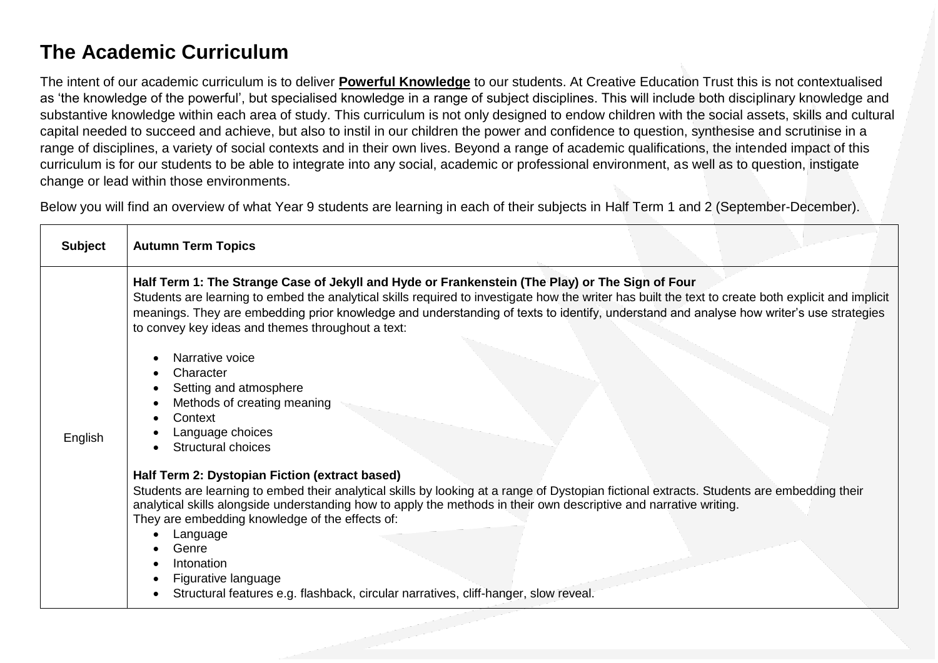## **The Academic Curriculum**

The intent of our academic curriculum is to deliver **Powerful Knowledge** to our students. At Creative Education Trust this is not contextualised as 'the knowledge of the powerful', but specialised knowledge in a range of subject disciplines. This will include both disciplinary knowledge and substantive knowledge within each area of study. This curriculum is not only designed to endow children with the social assets, skills and cultural capital needed to succeed and achieve, but also to instil in our children the power and confidence to question, synthesise and scrutinise in a range of disciplines, a variety of social contexts and in their own lives. Beyond a range of academic qualifications, the intended impact of this curriculum is for our students to be able to integrate into any social, academic or professional environment, as well as to question, instigate change or lead within those environments.

Below you will find an overview of what Year 9 students are learning in each of their subjects in Half Term 1 and 2 (September-December).

| <b>Subject</b> | <b>Autumn Term Topics</b>                                                                                                                                                                                                                                                                                                                                                                                                                              |
|----------------|--------------------------------------------------------------------------------------------------------------------------------------------------------------------------------------------------------------------------------------------------------------------------------------------------------------------------------------------------------------------------------------------------------------------------------------------------------|
|                | Half Term 1: The Strange Case of Jekyll and Hyde or Frankenstein (The Play) or The Sign of Four<br>Students are learning to embed the analytical skills required to investigate how the writer has built the text to create both explicit and implicit<br>meanings. They are embedding prior knowledge and understanding of texts to identify, understand and analyse how writer's use strategies<br>to convey key ideas and themes throughout a text: |
|                | Narrative voice<br>Character                                                                                                                                                                                                                                                                                                                                                                                                                           |
|                | Setting and atmosphere<br>Methods of creating meaning                                                                                                                                                                                                                                                                                                                                                                                                  |
|                | Context                                                                                                                                                                                                                                                                                                                                                                                                                                                |
| English        | Language choices                                                                                                                                                                                                                                                                                                                                                                                                                                       |
|                | Structural choices                                                                                                                                                                                                                                                                                                                                                                                                                                     |
|                | Half Term 2: Dystopian Fiction (extract based)                                                                                                                                                                                                                                                                                                                                                                                                         |
|                | Students are learning to embed their analytical skills by looking at a range of Dystopian fictional extracts. Students are embedding their<br>analytical skills alongside understanding how to apply the methods in their own descriptive and narrative writing.<br>They are embedding knowledge of the effects of:                                                                                                                                    |
|                | Language<br>Genre                                                                                                                                                                                                                                                                                                                                                                                                                                      |
|                | Intonation                                                                                                                                                                                                                                                                                                                                                                                                                                             |
|                | Figurative language                                                                                                                                                                                                                                                                                                                                                                                                                                    |
|                | Structural features e.g. flashback, circular narratives, cliff-hanger, slow reveal.                                                                                                                                                                                                                                                                                                                                                                    |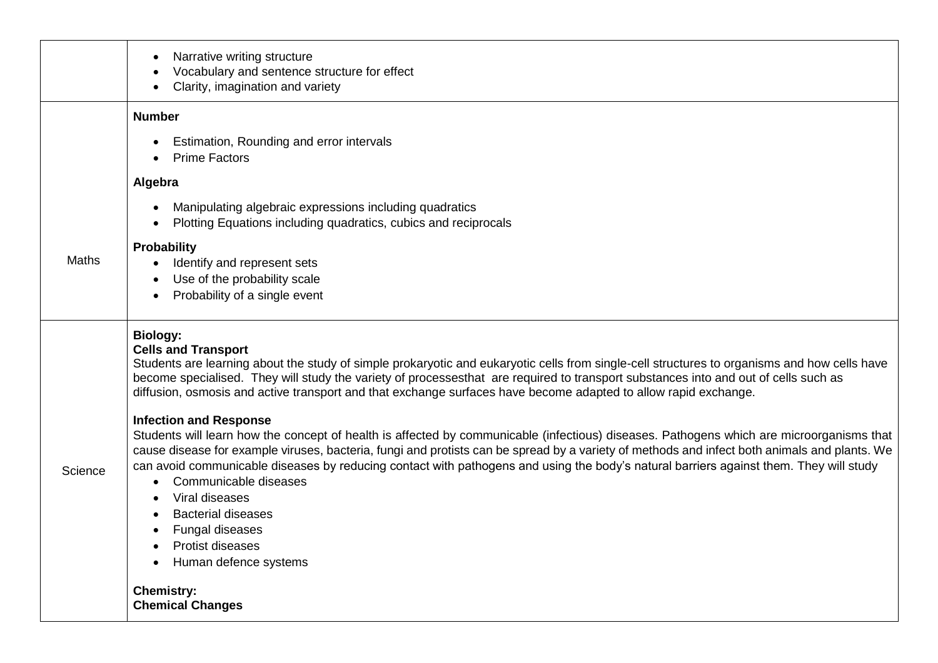|              | Narrative writing structure<br>Vocabulary and sentence structure for effect<br>Clarity, imagination and variety                                                                                                                                                                                                                                                                                                                                                                                                                                                                                                    |
|--------------|--------------------------------------------------------------------------------------------------------------------------------------------------------------------------------------------------------------------------------------------------------------------------------------------------------------------------------------------------------------------------------------------------------------------------------------------------------------------------------------------------------------------------------------------------------------------------------------------------------------------|
|              | <b>Number</b>                                                                                                                                                                                                                                                                                                                                                                                                                                                                                                                                                                                                      |
|              | Estimation, Rounding and error intervals<br><b>Prime Factors</b>                                                                                                                                                                                                                                                                                                                                                                                                                                                                                                                                                   |
|              | Algebra                                                                                                                                                                                                                                                                                                                                                                                                                                                                                                                                                                                                            |
|              | Manipulating algebraic expressions including quadratics<br>Plotting Equations including quadratics, cubics and reciprocals                                                                                                                                                                                                                                                                                                                                                                                                                                                                                         |
| <b>Maths</b> | <b>Probability</b><br>Identify and represent sets<br>Use of the probability scale<br>Probability of a single event                                                                                                                                                                                                                                                                                                                                                                                                                                                                                                 |
|              | <b>Biology:</b><br><b>Cells and Transport</b><br>Students are learning about the study of simple prokaryotic and eukaryotic cells from single-cell structures to organisms and how cells have<br>become specialised. They will study the variety of processesthat are required to transport substances into and out of cells such as<br>diffusion, osmosis and active transport and that exchange surfaces have become adapted to allow rapid exchange.                                                                                                                                                            |
| Science      | <b>Infection and Response</b><br>Students will learn how the concept of health is affected by communicable (infectious) diseases. Pathogens which are microorganisms that<br>cause disease for example viruses, bacteria, fungi and protists can be spread by a variety of methods and infect both animals and plants. We<br>can avoid communicable diseases by reducing contact with pathogens and using the body's natural barriers against them. They will study<br>Communicable diseases<br>Viral diseases<br><b>Bacterial diseases</b><br><b>Fungal diseases</b><br>Protist diseases<br>Human defence systems |
|              | <b>Chemistry:</b><br><b>Chemical Changes</b>                                                                                                                                                                                                                                                                                                                                                                                                                                                                                                                                                                       |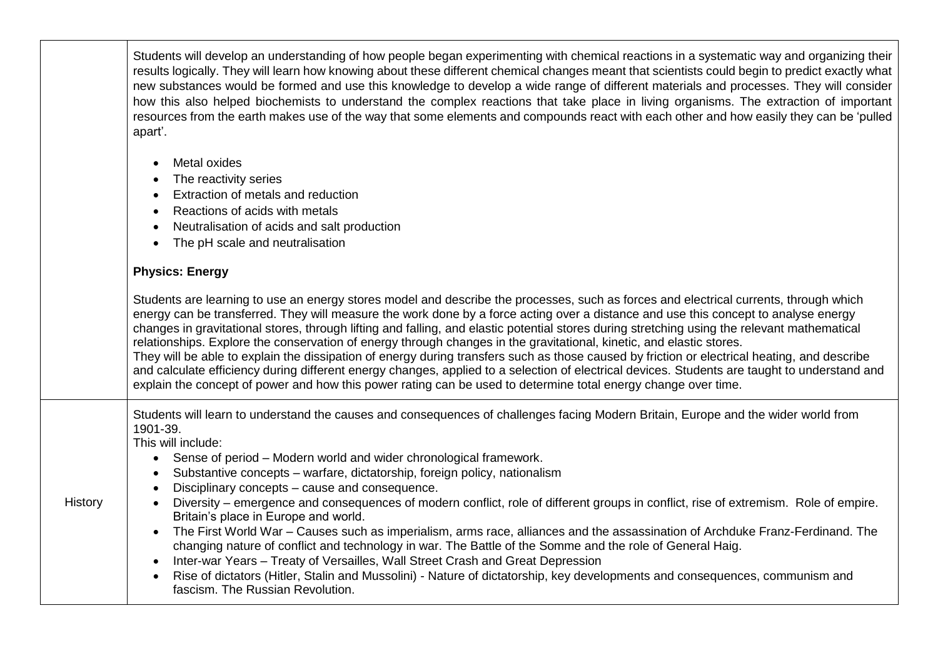|         | Students will develop an understanding of how people began experimenting with chemical reactions in a systematic way and organizing their<br>results logically. They will learn how knowing about these different chemical changes meant that scientists could begin to predict exactly what<br>new substances would be formed and use this knowledge to develop a wide range of different materials and processes. They will consider<br>how this also helped biochemists to understand the complex reactions that take place in living organisms. The extraction of important<br>resources from the earth makes use of the way that some elements and compounds react with each other and how easily they can be 'pulled<br>apart'.                                                                                                                                                                                                                                                                                                                                                                         |
|---------|---------------------------------------------------------------------------------------------------------------------------------------------------------------------------------------------------------------------------------------------------------------------------------------------------------------------------------------------------------------------------------------------------------------------------------------------------------------------------------------------------------------------------------------------------------------------------------------------------------------------------------------------------------------------------------------------------------------------------------------------------------------------------------------------------------------------------------------------------------------------------------------------------------------------------------------------------------------------------------------------------------------------------------------------------------------------------------------------------------------|
|         | Metal oxides<br>The reactivity series<br>Extraction of metals and reduction<br>Reactions of acids with metals<br>$\bullet$<br>Neutralisation of acids and salt production<br>$\bullet$<br>The pH scale and neutralisation<br>$\bullet$                                                                                                                                                                                                                                                                                                                                                                                                                                                                                                                                                                                                                                                                                                                                                                                                                                                                        |
|         | <b>Physics: Energy</b>                                                                                                                                                                                                                                                                                                                                                                                                                                                                                                                                                                                                                                                                                                                                                                                                                                                                                                                                                                                                                                                                                        |
|         | Students are learning to use an energy stores model and describe the processes, such as forces and electrical currents, through which<br>energy can be transferred. They will measure the work done by a force acting over a distance and use this concept to analyse energy<br>changes in gravitational stores, through lifting and falling, and elastic potential stores during stretching using the relevant mathematical<br>relationships. Explore the conservation of energy through changes in the gravitational, kinetic, and elastic stores.<br>They will be able to explain the dissipation of energy during transfers such as those caused by friction or electrical heating, and describe<br>and calculate efficiency during different energy changes, applied to a selection of electrical devices. Students are taught to understand and<br>explain the concept of power and how this power rating can be used to determine total energy change over time.                                                                                                                                       |
| History | Students will learn to understand the causes and consequences of challenges facing Modern Britain, Europe and the wider world from<br>1901-39.<br>This will include:<br>Sense of period - Modern world and wider chronological framework.<br>$\bullet$<br>Substantive concepts - warfare, dictatorship, foreign policy, nationalism<br>$\bullet$<br>Disciplinary concepts - cause and consequence.<br>Diversity – emergence and consequences of modern conflict, role of different groups in conflict, rise of extremism. Role of empire.<br>Britain's place in Europe and world.<br>The First World War – Causes such as imperialism, arms race, alliances and the assassination of Archduke Franz-Ferdinand. The<br>$\bullet$<br>changing nature of conflict and technology in war. The Battle of the Somme and the role of General Haig.<br>Inter-war Years - Treaty of Versailles, Wall Street Crash and Great Depression<br>$\bullet$<br>Rise of dictators (Hitler, Stalin and Mussolini) - Nature of dictatorship, key developments and consequences, communism and<br>fascism. The Russian Revolution. |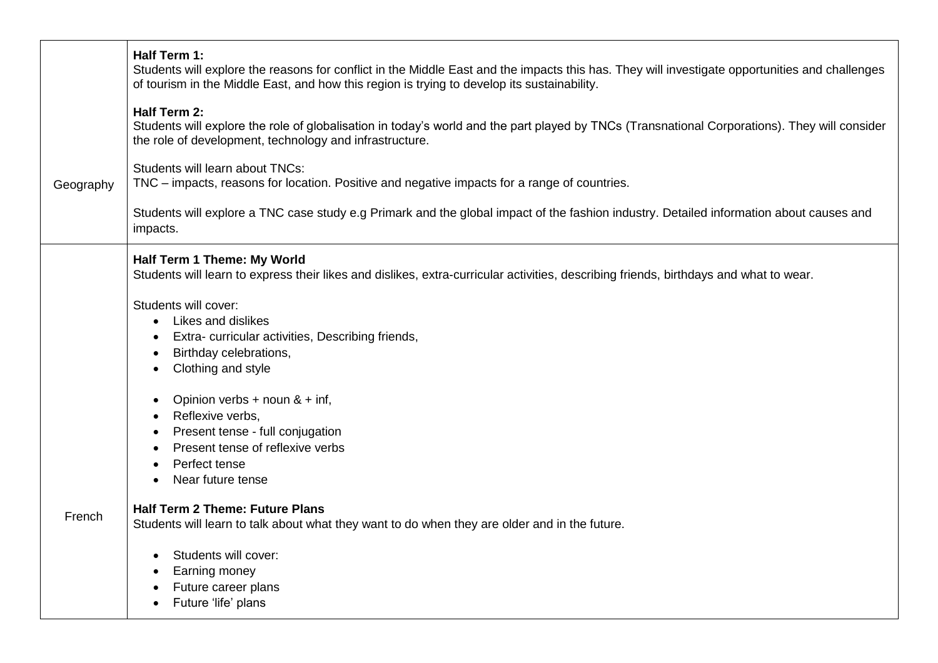|           | Half Term 1:<br>Students will explore the reasons for conflict in the Middle East and the impacts this has. They will investigate opportunities and challenges<br>of tourism in the Middle East, and how this region is trying to develop its sustainability. |
|-----------|---------------------------------------------------------------------------------------------------------------------------------------------------------------------------------------------------------------------------------------------------------------|
|           | Half Term 2:<br>Students will explore the role of globalisation in today's world and the part played by TNCs (Transnational Corporations). They will consider<br>the role of development, technology and infrastructure.                                      |
| Geography | Students will learn about TNCs:<br>TNC – impacts, reasons for location. Positive and negative impacts for a range of countries.                                                                                                                               |
|           | Students will explore a TNC case study e.g Primark and the global impact of the fashion industry. Detailed information about causes and<br>impacts.                                                                                                           |
|           | Half Term 1 Theme: My World<br>Students will learn to express their likes and dislikes, extra-curricular activities, describing friends, birthdays and what to wear.                                                                                          |
|           | Students will cover:                                                                                                                                                                                                                                          |
|           | Likes and dislikes<br>$\bullet$                                                                                                                                                                                                                               |
|           | Extra-curricular activities, Describing friends,                                                                                                                                                                                                              |
|           | Birthday celebrations,                                                                                                                                                                                                                                        |
|           | Clothing and style                                                                                                                                                                                                                                            |
|           | Opinion verbs + noun $&$ + inf,                                                                                                                                                                                                                               |
|           | Reflexive verbs,                                                                                                                                                                                                                                              |
|           | Present tense - full conjugation                                                                                                                                                                                                                              |
|           | Present tense of reflexive verbs                                                                                                                                                                                                                              |
|           | Perfect tense<br>Near future tense                                                                                                                                                                                                                            |
|           |                                                                                                                                                                                                                                                               |
| French    | <b>Half Term 2 Theme: Future Plans</b><br>Students will learn to talk about what they want to do when they are older and in the future.                                                                                                                       |
|           | Students will cover:                                                                                                                                                                                                                                          |
|           | Earning money                                                                                                                                                                                                                                                 |
|           | Future career plans                                                                                                                                                                                                                                           |
|           | Future 'life' plans                                                                                                                                                                                                                                           |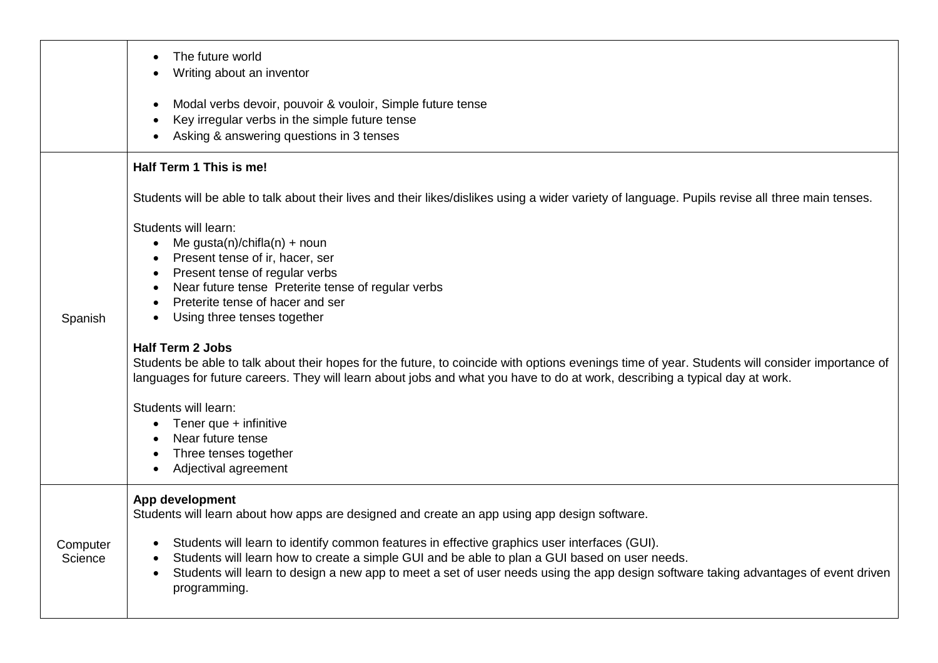|                     | The future world<br>Writing about an inventor                                                                                                                                                                                                                                                                                                                                                                                                                                                                                                                                                                                               |
|---------------------|---------------------------------------------------------------------------------------------------------------------------------------------------------------------------------------------------------------------------------------------------------------------------------------------------------------------------------------------------------------------------------------------------------------------------------------------------------------------------------------------------------------------------------------------------------------------------------------------------------------------------------------------|
|                     | Modal verbs devoir, pouvoir & vouloir, Simple future tense<br>Key irregular verbs in the simple future tense<br>Asking & answering questions in 3 tenses                                                                                                                                                                                                                                                                                                                                                                                                                                                                                    |
|                     | Half Term 1 This is me!                                                                                                                                                                                                                                                                                                                                                                                                                                                                                                                                                                                                                     |
|                     | Students will be able to talk about their lives and their likes/dislikes using a wider variety of language. Pupils revise all three main tenses.                                                                                                                                                                                                                                                                                                                                                                                                                                                                                            |
| Spanish             | Students will learn:<br>Me gusta(n)/chifla(n) + noun<br>Present tense of ir, hacer, ser<br>Present tense of regular verbs<br>Near future tense Preterite tense of regular verbs<br>Preterite tense of hacer and ser<br>Using three tenses together<br>٠<br><b>Half Term 2 Jobs</b><br>Students be able to talk about their hopes for the future, to coincide with options evenings time of year. Students will consider importance of<br>languages for future careers. They will learn about jobs and what you have to do at work, describing a typical day at work.<br>Students will learn:<br>Tener que + infinitive<br>Near future tense |
|                     | Three tenses together<br>Adjectival agreement                                                                                                                                                                                                                                                                                                                                                                                                                                                                                                                                                                                               |
| Computer<br>Science | App development<br>Students will learn about how apps are designed and create an app using app design software.<br>Students will learn to identify common features in effective graphics user interfaces (GUI).<br>Students will learn how to create a simple GUI and be able to plan a GUI based on user needs.<br>Students will learn to design a new app to meet a set of user needs using the app design software taking advantages of event driven<br>$\bullet$<br>programming.                                                                                                                                                        |
|                     |                                                                                                                                                                                                                                                                                                                                                                                                                                                                                                                                                                                                                                             |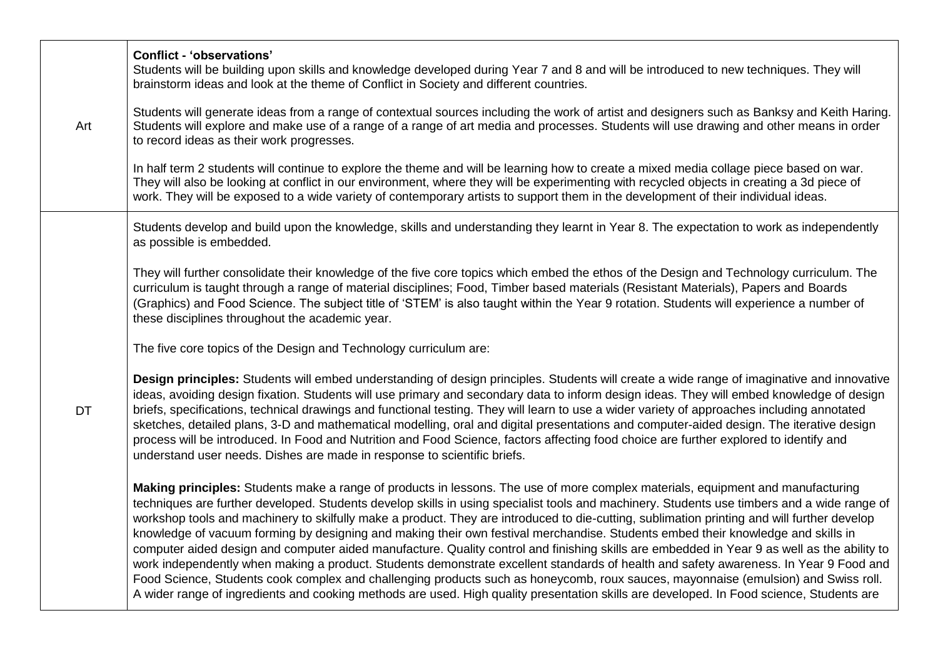| Art       | <b>Conflict - 'observations'</b><br>Students will be building upon skills and knowledge developed during Year 7 and 8 and will be introduced to new techniques. They will<br>brainstorm ideas and look at the theme of Conflict in Society and different countries.                                                                                                                                                                                                                                                                                                                                                                                                                                                                                                                                                                                                                                                                                                                                                                                                                                                                         |
|-----------|---------------------------------------------------------------------------------------------------------------------------------------------------------------------------------------------------------------------------------------------------------------------------------------------------------------------------------------------------------------------------------------------------------------------------------------------------------------------------------------------------------------------------------------------------------------------------------------------------------------------------------------------------------------------------------------------------------------------------------------------------------------------------------------------------------------------------------------------------------------------------------------------------------------------------------------------------------------------------------------------------------------------------------------------------------------------------------------------------------------------------------------------|
|           | Students will generate ideas from a range of contextual sources including the work of artist and designers such as Banksy and Keith Haring.<br>Students will explore and make use of a range of a range of art media and processes. Students will use drawing and other means in order<br>to record ideas as their work progresses.                                                                                                                                                                                                                                                                                                                                                                                                                                                                                                                                                                                                                                                                                                                                                                                                         |
|           | In half term 2 students will continue to explore the theme and will be learning how to create a mixed media collage piece based on war.<br>They will also be looking at conflict in our environment, where they will be experimenting with recycled objects in creating a 3d piece of<br>work. They will be exposed to a wide variety of contemporary artists to support them in the development of their individual ideas.                                                                                                                                                                                                                                                                                                                                                                                                                                                                                                                                                                                                                                                                                                                 |
| <b>DT</b> | Students develop and build upon the knowledge, skills and understanding they learnt in Year 8. The expectation to work as independently<br>as possible is embedded.                                                                                                                                                                                                                                                                                                                                                                                                                                                                                                                                                                                                                                                                                                                                                                                                                                                                                                                                                                         |
|           | They will further consolidate their knowledge of the five core topics which embed the ethos of the Design and Technology curriculum. The<br>curriculum is taught through a range of material disciplines; Food, Timber based materials (Resistant Materials), Papers and Boards<br>(Graphics) and Food Science. The subject title of 'STEM' is also taught within the Year 9 rotation. Students will experience a number of<br>these disciplines throughout the academic year.                                                                                                                                                                                                                                                                                                                                                                                                                                                                                                                                                                                                                                                              |
|           | The five core topics of the Design and Technology curriculum are:                                                                                                                                                                                                                                                                                                                                                                                                                                                                                                                                                                                                                                                                                                                                                                                                                                                                                                                                                                                                                                                                           |
|           | Design principles: Students will embed understanding of design principles. Students will create a wide range of imaginative and innovative<br>ideas, avoiding design fixation. Students will use primary and secondary data to inform design ideas. They will embed knowledge of design<br>briefs, specifications, technical drawings and functional testing. They will learn to use a wider variety of approaches including annotated<br>sketches, detailed plans, 3-D and mathematical modelling, oral and digital presentations and computer-aided design. The iterative design<br>process will be introduced. In Food and Nutrition and Food Science, factors affecting food choice are further explored to identify and<br>understand user needs. Dishes are made in response to scientific briefs.                                                                                                                                                                                                                                                                                                                                    |
|           | Making principles: Students make a range of products in lessons. The use of more complex materials, equipment and manufacturing<br>techniques are further developed. Students develop skills in using specialist tools and machinery. Students use timbers and a wide range of<br>workshop tools and machinery to skilfully make a product. They are introduced to die-cutting, sublimation printing and will further develop<br>knowledge of vacuum forming by designing and making their own festival merchandise. Students embed their knowledge and skills in<br>computer aided design and computer aided manufacture. Quality control and finishing skills are embedded in Year 9 as well as the ability to<br>work independently when making a product. Students demonstrate excellent standards of health and safety awareness. In Year 9 Food and<br>Food Science, Students cook complex and challenging products such as honeycomb, roux sauces, mayonnaise (emulsion) and Swiss roll.<br>A wider range of ingredients and cooking methods are used. High quality presentation skills are developed. In Food science, Students are |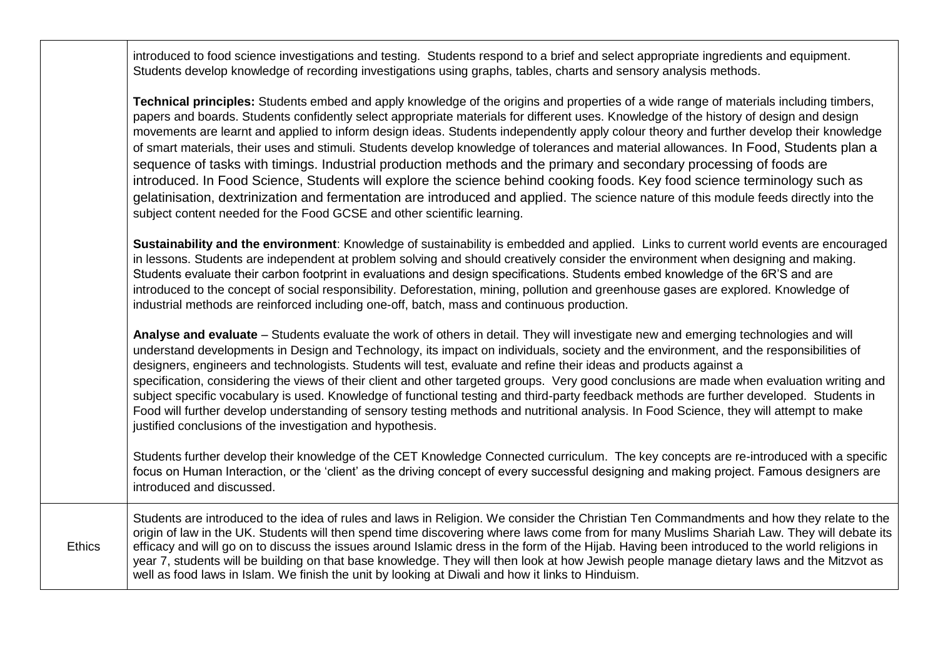introduced to food science investigations and testing. Students respond to a brief and select appropriate ingredients and equipment. Students develop knowledge of recording investigations using graphs, tables, charts and sensory analysis methods.

| Technical principles: Students embed and apply knowledge of the origins and properties of a wide range of materials including timbers,<br>papers and boards. Students confidently select appropriate materials for different uses. Knowledge of the history of design and design<br>movements are learnt and applied to inform design ideas. Students independently apply colour theory and further develop their knowledge<br>of smart materials, their uses and stimuli. Students develop knowledge of tolerances and material allowances. In Food, Students plan a<br>sequence of tasks with timings. Industrial production methods and the primary and secondary processing of foods are<br>introduced. In Food Science, Students will explore the science behind cooking foods. Key food science terminology such as<br>gelatinisation, dextrinization and fermentation are introduced and applied. The science nature of this module feeds directly into the<br>subject content needed for the Food GCSE and other scientific learning. |
|-----------------------------------------------------------------------------------------------------------------------------------------------------------------------------------------------------------------------------------------------------------------------------------------------------------------------------------------------------------------------------------------------------------------------------------------------------------------------------------------------------------------------------------------------------------------------------------------------------------------------------------------------------------------------------------------------------------------------------------------------------------------------------------------------------------------------------------------------------------------------------------------------------------------------------------------------------------------------------------------------------------------------------------------------|
| Sustainability and the environment: Knowledge of sustainability is embedded and applied. Links to current world events are encouraged<br>in lessons. Students are independent at problem solving and should creatively consider the environment when designing and making.<br>Students evaluate their carbon footprint in evaluations and design specifications. Students embed knowledge of the 6R'S and are<br>introduced to the concept of social responsibility. Deforestation, mining, pollution and greenhouse gases are explored. Knowledge of<br>industrial methods are reinforced including one-off, batch, mass and continuous production.                                                                                                                                                                                                                                                                                                                                                                                          |
| Analyse and evaluate – Students evaluate the work of others in detail. They will investigate new and emerging technologies and will<br>understand developments in Design and Technology, its impact on individuals, society and the environment, and the responsibilities of<br>designers, engineers and technologists. Students will test, evaluate and refine their ideas and products against a<br>specification, considering the views of their client and other targeted groups. Very good conclusions are made when evaluation writing and<br>subject specific vocabulary is used. Knowledge of functional testing and third-party feedback methods are further developed. Students in                                                                                                                                                                                                                                                                                                                                                  |

Food will further develop understanding of sensory testing methods and nutritional analysis. In Food Science, they will attempt to make justified conclusions of the investigation and hypothesis.

Students further develop their knowledge of the CET Knowledge Connected curriculum. The key concepts are re-introduced with a specific focus on Human Interaction, or the 'client' as the driving concept of every successful designing and making project. Famous designers are introduced and discussed.

**Ethics** Students are introduced to the idea of rules and laws in Religion. We consider the Christian Ten Commandments and how they relate to the origin of law in the UK. Students will then spend time discovering where laws come from for many Muslims Shariah Law. They will debate its efficacy and will go on to discuss the issues around Islamic dress in the form of the Hijab. Having been introduced to the world religions in year 7, students will be building on that base knowledge. They will then look at how Jewish people manage dietary laws and the Mitzvot as well as food laws in Islam. We finish the unit by looking at Diwali and how it links to Hinduism.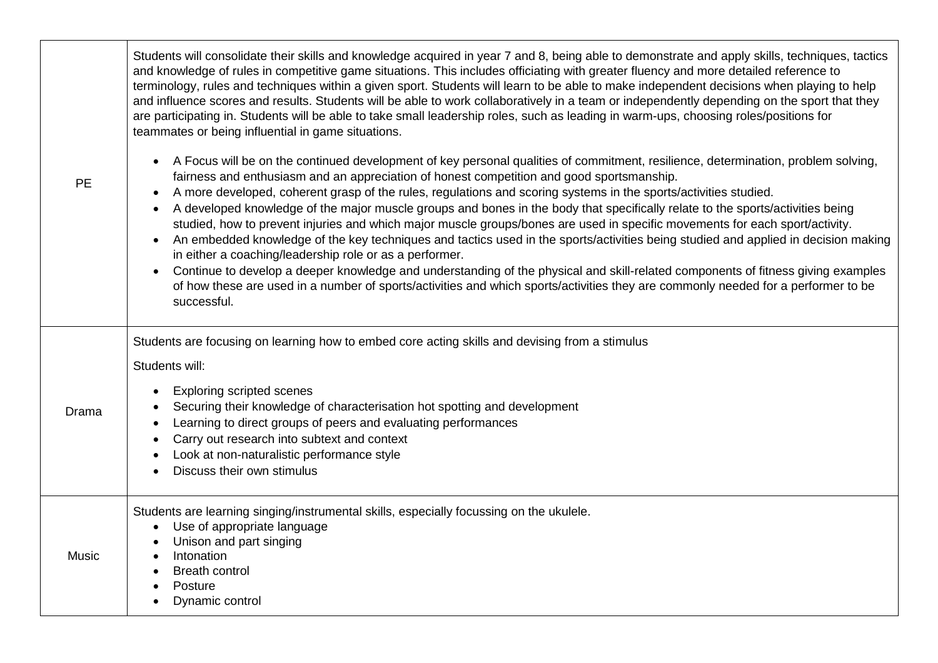| <b>PE</b>    | Students will consolidate their skills and knowledge acquired in year 7 and 8, being able to demonstrate and apply skills, techniques, tactics<br>and knowledge of rules in competitive game situations. This includes officiating with greater fluency and more detailed reference to<br>terminology, rules and techniques within a given sport. Students will learn to be able to make independent decisions when playing to help<br>and influence scores and results. Students will be able to work collaboratively in a team or independently depending on the sport that they<br>are participating in. Students will be able to take small leadership roles, such as leading in warm-ups, choosing roles/positions for<br>teammates or being influential in game situations.<br>A Focus will be on the continued development of key personal qualities of commitment, resilience, determination, problem solving,<br>fairness and enthusiasm and an appreciation of honest competition and good sportsmanship.<br>A more developed, coherent grasp of the rules, regulations and scoring systems in the sports/activities studied.<br>A developed knowledge of the major muscle groups and bones in the body that specifically relate to the sports/activities being<br>studied, how to prevent injuries and which major muscle groups/bones are used in specific movements for each sport/activity.<br>An embedded knowledge of the key techniques and tactics used in the sports/activities being studied and applied in decision making<br>in either a coaching/leadership role or as a performer.<br>Continue to develop a deeper knowledge and understanding of the physical and skill-related components of fitness giving examples<br>of how these are used in a number of sports/activities and which sports/activities they are commonly needed for a performer to be<br>successful. |
|--------------|----------------------------------------------------------------------------------------------------------------------------------------------------------------------------------------------------------------------------------------------------------------------------------------------------------------------------------------------------------------------------------------------------------------------------------------------------------------------------------------------------------------------------------------------------------------------------------------------------------------------------------------------------------------------------------------------------------------------------------------------------------------------------------------------------------------------------------------------------------------------------------------------------------------------------------------------------------------------------------------------------------------------------------------------------------------------------------------------------------------------------------------------------------------------------------------------------------------------------------------------------------------------------------------------------------------------------------------------------------------------------------------------------------------------------------------------------------------------------------------------------------------------------------------------------------------------------------------------------------------------------------------------------------------------------------------------------------------------------------------------------------------------------------------------------------------------------------------------------------------------------------------------------|
| Drama        | Students are focusing on learning how to embed core acting skills and devising from a stimulus<br>Students will:<br><b>Exploring scripted scenes</b><br>Securing their knowledge of characterisation hot spotting and development<br>Learning to direct groups of peers and evaluating performances<br>Carry out research into subtext and context<br>Look at non-naturalistic performance style<br>Discuss their own stimulus                                                                                                                                                                                                                                                                                                                                                                                                                                                                                                                                                                                                                                                                                                                                                                                                                                                                                                                                                                                                                                                                                                                                                                                                                                                                                                                                                                                                                                                                     |
| <b>Music</b> | Students are learning singing/instrumental skills, especially focussing on the ukulele.<br>Use of appropriate language<br>$\bullet$<br>Unison and part singing<br>Intonation<br><b>Breath control</b><br>Posture<br>Dynamic control                                                                                                                                                                                                                                                                                                                                                                                                                                                                                                                                                                                                                                                                                                                                                                                                                                                                                                                                                                                                                                                                                                                                                                                                                                                                                                                                                                                                                                                                                                                                                                                                                                                                |